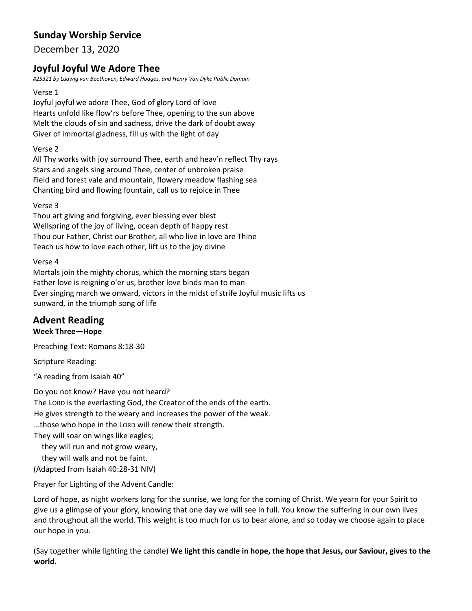# **Sunday Worship Service**

December 13, 2020

# **Joyful Joyful We Adore Thee**

*#25321 by Ludwig van Beethoven, Edward Hodges, and Henry Van Dyke Public Domain*

#### Verse 1

Joyful joyful we adore Thee, God of glory Lord of love Hearts unfold like flow'rs before Thee, opening to the sun above Melt the clouds of sin and sadness, drive the dark of doubt away Giver of immortal gladness, fill us with the light of day

### Verse 2

All Thy works with joy surround Thee, earth and heav'n reflect Thy rays Stars and angels sing around Thee, center of unbroken praise Field and forest vale and mountain, flowery meadow flashing sea Chanting bird and flowing fountain, call us to rejoice in Thee

#### Verse 3

Thou art giving and forgiving, ever blessing ever blest Wellspring of the joy of living, ocean depth of happy rest Thou our Father, Christ our Brother, all who live in love are Thine Teach us how to love each other, lift us to the joy divine

#### Verse 4

Mortals join the mighty chorus, which the morning stars began Father love is reigning o'er us, brother love binds man to man Ever singing march we onward, victors in the midst of strife Joyful music lifts us sunward, in the triumph song of life

# **Advent Reading**

#### **Week Three—Hope**

Preaching Text: Romans 8:18-30

Scripture Reading:

"A reading from Isaiah 40"

Do you not know? Have you not heard? The LORD is the everlasting God, the Creator of the ends of the earth. He gives strength to the weary and increases the power of the weak. …those who hope in the LORD will renew their strength. They will soar on wings like eagles;

they will run and not grow weary,

they will walk and not be faint.

(Adapted from Isaiah 40:28-31 NIV)

Prayer for Lighting of the Advent Candle:

Lord of hope, as night workers long for the sunrise, we long for the coming of Christ. We yearn for your Spirit to give us a glimpse of your glory, knowing that one day we will see in full. You know the suffering in our own lives and throughout all the world. This weight is too much for us to bear alone, and so today we choose again to place our hope in you.

(Say together while lighting the candle) **We light this candle in hope, the hope that Jesus, our Saviour, gives to the world.**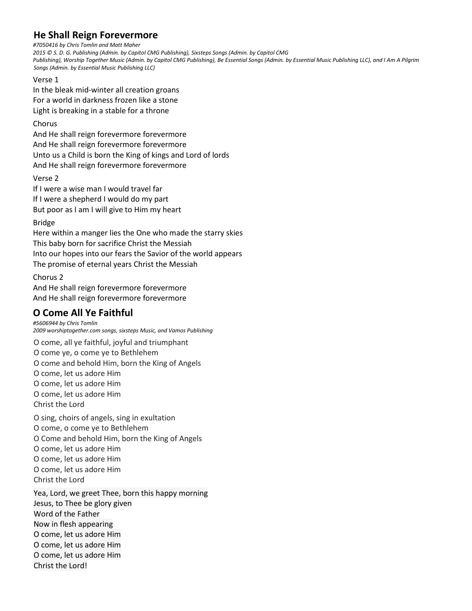# **He Shall Reign Forevermore**

*#7050416 by Chris Tomlin and Matt Maher*

*2015 © S. D. G. Publishing (Admin. by Capitol CMG Publishing), Sixsteps Songs (Admin. by Capitol CMG Publishing), Worship Together Music (Admin. by Capitol CMG Publishing), Be Essential Songs (Admin. by Essential Music Publishing LLC), and I Am A Pilgrim Songs (Admin. by Essential Music Publishing LLC)*

#### Verse 1

In the bleak mid-winter all creation groans For a world in darkness frozen like a stone Light is breaking in a stable for a throne

### Chorus

And He shall reign forevermore forevermore And He shall reign forevermore forevermore Unto us a Child is born the King of kings and Lord of lords And He shall reign forevermore forevermore

### Verse 2

If I were a wise man I would travel far If I were a shepherd I would do my part But poor as I am I will give to Him my heart

### Bridge

Here within a manger lies the One who made the starry skies This baby born for sacrifice Christ the Messiah Into our hopes into our fears the Savior of the world appears The promise of eternal years Christ the Messiah

### Chorus 2

And He shall reign forevermore forevermore And He shall reign forevermore forevermore

# **O Come All Ye Faithful**

*#5606944 by Chris Tomlin 2009 worshiptogether.com songs, sixsteps Music, and Vamos Publishing*

O come, all ye faithful, joyful and triumphant O come ye, o come ye to Bethlehem O come and behold Him, born the King of Angels O come, let us adore Him O come, let us adore Him O come, let us adore Him Christ the Lord

O sing, choirs of angels, sing in exultation O come, o come ye to Bethlehem O Come and behold Him, born the King of Angels O come, let us adore Him O come, let us adore Him O come, let us adore Him Christ the Lord

Yea, Lord, we greet Thee, born this happy morning Jesus, to Thee be glory given Word of the Father Now in flesh appearing O come, let us adore Him O come, let us adore Him O come, let us adore Him Christ the Lord!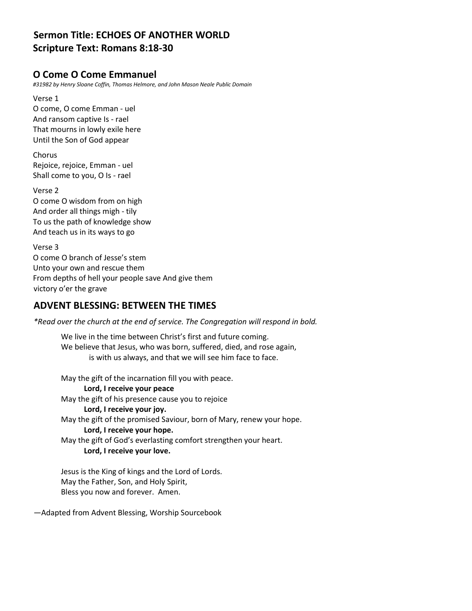# **Sermon Title: ECHOES OF ANOTHER WORLD Scripture Text: Romans 8:18-30**

## **O Come O Come Emmanuel**

*#31982 by Henry Sloane Coffin, Thomas Helmore, and John Mason Neale Public Domain*

Verse 1 O come, O come Emman - uel And ransom captive Is - rael That mourns in lowly exile here Until the Son of God appear

Chorus Rejoice, rejoice, Emman - uel Shall come to you, O Is - rael

Verse 2 O come O wisdom from on high And order all things migh - tily To us the path of knowledge show And teach us in its ways to go

Verse 3 O come O branch of Jesse's stem Unto your own and rescue them From depths of hell your people save And give them victory o'er the grave

# **ADVENT BLESSING: BETWEEN THE TIMES**

*\*Read over the church at the end of service. The Congregation will respond in bold.*

We live in the time between Christ's first and future coming. We believe that Jesus, who was born, suffered, died, and rose again, is with us always, and that we will see him face to face.

May the gift of the incarnation fill you with peace.

**Lord, I receive your peace** May the gift of his presence cause you to rejoice **Lord, I receive your joy.** May the gift of the promised Saviour, born of Mary, renew your hope. **Lord, I receive your hope.** May the gift of God's everlasting comfort strengthen your heart. **Lord, I receive your love.**

Jesus is the King of kings and the Lord of Lords. May the Father, Son, and Holy Spirit, Bless you now and forever. Amen.

—Adapted from Advent Blessing, Worship Sourcebook